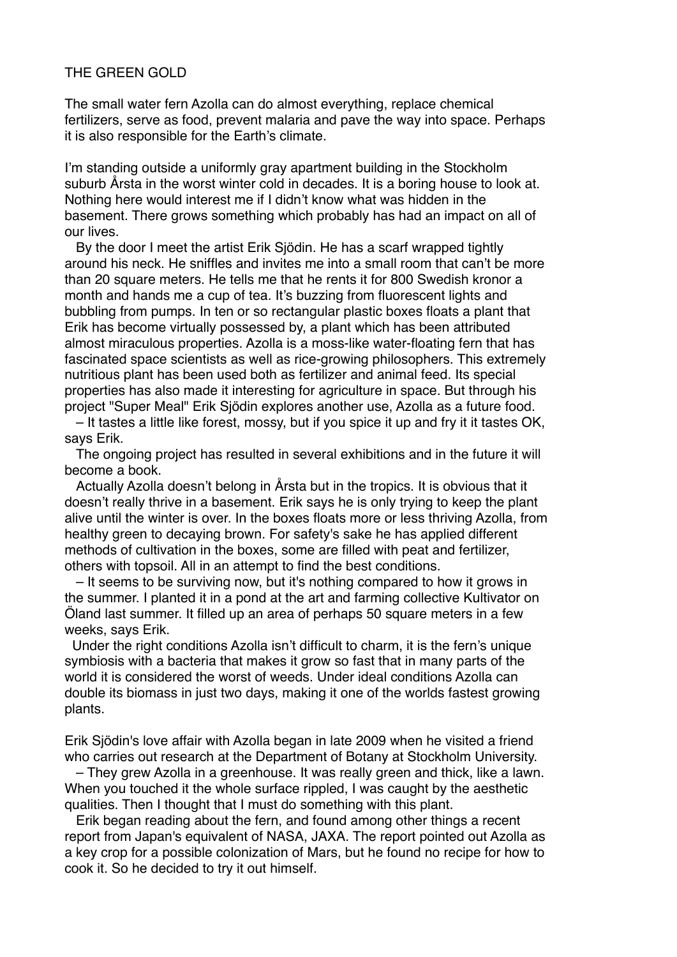## THE GREEN GOLD

The small water fern Azolla can do almost everything, replace chemical fertilizers, serve as food, prevent malaria and pave the way into space. Perhaps it is also responsible for the Earth's climate.

I'm standing outside a uniformly gray apartment building in the Stockholm suburb Årsta in the worst winter cold in decades. It is a boring house to look at. Nothing here would interest me if I didn't know what was hidden in the basement. There grows something which probably has had an impact on all of our lives.

 By the door I meet the artist Erik Sjödin. He has a scarf wrapped tightly around his neck. He sniffles and invites me into a small room that can't be more than 20 square meters. He tells me that he rents it for 800 Swedish kronor a month and hands me a cup of tea. It's buzzing from fluorescent lights and bubbling from pumps. In ten or so rectangular plastic boxes floats a plant that Erik has become virtually possessed by, a plant which has been attributed almost miraculous properties. Azolla is a moss-like water-floating fern that has fascinated space scientists as well as rice-growing philosophers. This extremely nutritious plant has been used both as fertilizer and animal feed. Its special properties has also made it interesting for agriculture in space. But through his project "Super Meal" Erik Sjödin explores another use, Azolla as a future food.

 – It tastes a little like forest, mossy, but if you spice it up and fry it it tastes OK, says Erik.

 The ongoing project has resulted in several exhibitions and in the future it will become a book.

 Actually Azolla doesn't belong in Årsta but in the tropics. It is obvious that it doesn't really thrive in a basement. Erik says he is only trying to keep the plant alive until the winter is over. In the boxes floats more or less thriving Azolla, from healthy green to decaying brown. For safety's sake he has applied different methods of cultivation in the boxes, some are filled with peat and fertilizer, others with topsoil. All in an attempt to find the best conditions.

 – It seems to be surviving now, but it's nothing compared to how it grows in the summer. I planted it in a pond at the art and farming collective Kultivator on Öland last summer. It filled up an area of perhaps 50 square meters in a few weeks, says Erik.

Under the right conditions Azolla isn't difficult to charm, it is the fern's unique symbiosis with a bacteria that makes it grow so fast that in many parts of the world it is considered the worst of weeds. Under ideal conditions Azolla can double its biomass in just two days, making it one of the worlds fastest growing plants.

Erik Sjödin's love affair with Azolla began in late 2009 when he visited a friend who carries out research at the Department of Botany at Stockholm University.

 – They grew Azolla in a greenhouse. It was really green and thick, like a lawn. When you touched it the whole surface rippled, I was caught by the aesthetic qualities. Then I thought that I must do something with this plant.

 Erik began reading about the fern, and found among other things a recent report from Japan's equivalent of NASA, JAXA. The report pointed out Azolla as a key crop for a possible colonization of Mars, but he found no recipe for how to cook it. So he decided to try it out himself.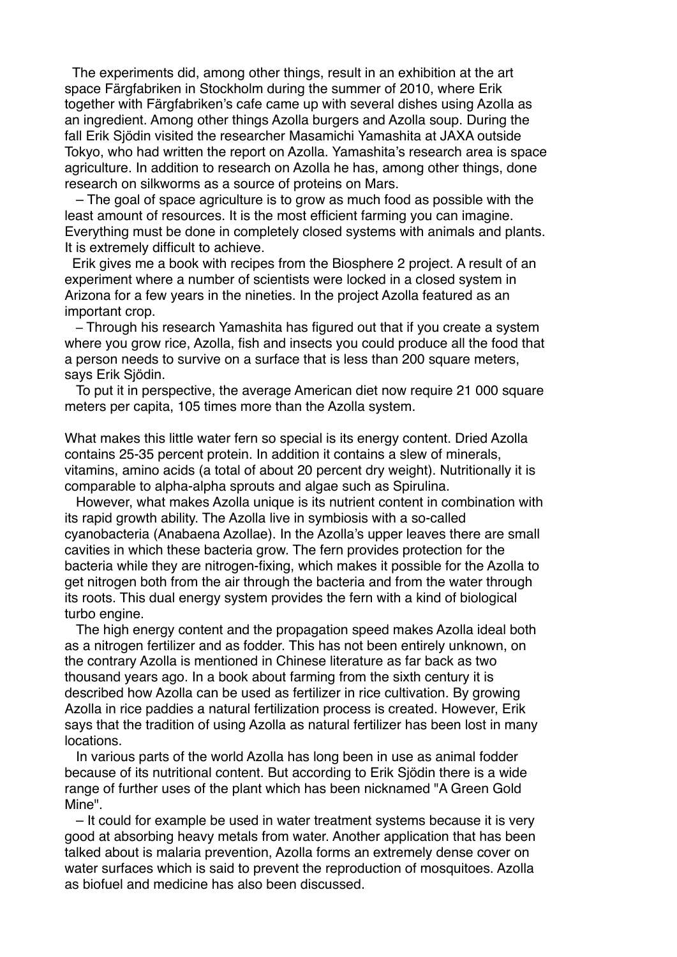The experiments did, among other things, result in an exhibition at the art space Färgfabriken in Stockholm during the summer of 2010, where Erik together with Färgfabriken's cafe came up with several dishes using Azolla as an ingredient. Among other things Azolla burgers and Azolla soup. During the fall Erik Sjödin visited the researcher Masamichi Yamashita at JAXA outside Tokyo, who had written the report on Azolla. Yamashita's research area is space agriculture. In addition to research on Azolla he has, among other things, done research on silkworms as a source of proteins on Mars.

 – The goal of space agriculture is to grow as much food as possible with the least amount of resources. It is the most efficient farming you can imagine. Everything must be done in completely closed systems with animals and plants. It is extremely difficult to achieve.

 Erik gives me a book with recipes from the Biosphere 2 project. A result of an experiment where a number of scientists were locked in a closed system in Arizona for a few years in the nineties. In the project Azolla featured as an important crop.

 – Through his research Yamashita has figured out that if you create a system where you grow rice, Azolla, fish and insects you could produce all the food that a person needs to survive on a surface that is less than 200 square meters, says Erik Sjödin.

 To put it in perspective, the average American diet now require 21 000 square meters per capita, 105 times more than the Azolla system.

What makes this little water fern so special is its energy content. Dried Azolla contains 25-35 percent protein. In addition it contains a slew of minerals, vitamins, amino acids (a total of about 20 percent dry weight). Nutritionally it is comparable to alpha-alpha sprouts and algae such as Spirulina.

 However, what makes Azolla unique is its nutrient content in combination with its rapid growth ability. The Azolla live in symbiosis with a so-called cyanobacteria (Anabaena Azollae). In the Azolla's upper leaves there are small cavities in which these bacteria grow. The fern provides protection for the bacteria while they are nitrogen-fixing, which makes it possible for the Azolla to get nitrogen both from the air through the bacteria and from the water through its roots. This dual energy system provides the fern with a kind of biological turbo engine.

 The high energy content and the propagation speed makes Azolla ideal both as a nitrogen fertilizer and as fodder. This has not been entirely unknown, on the contrary Azolla is mentioned in Chinese literature as far back as two thousand years ago. In a book about farming from the sixth century it is described how Azolla can be used as fertilizer in rice cultivation. By growing Azolla in rice paddies a natural fertilization process is created. However, Erik says that the tradition of using Azolla as natural fertilizer has been lost in many locations.

 In various parts of the world Azolla has long been in use as animal fodder because of its nutritional content. But according to Erik Sjödin there is a wide range of further uses of the plant which has been nicknamed "A Green Gold Mine".

 – It could for example be used in water treatment systems because it is very good at absorbing heavy metals from water. Another application that has been talked about is malaria prevention, Azolla forms an extremely dense cover on water surfaces which is said to prevent the reproduction of mosquitoes. Azolla as biofuel and medicine has also been discussed.